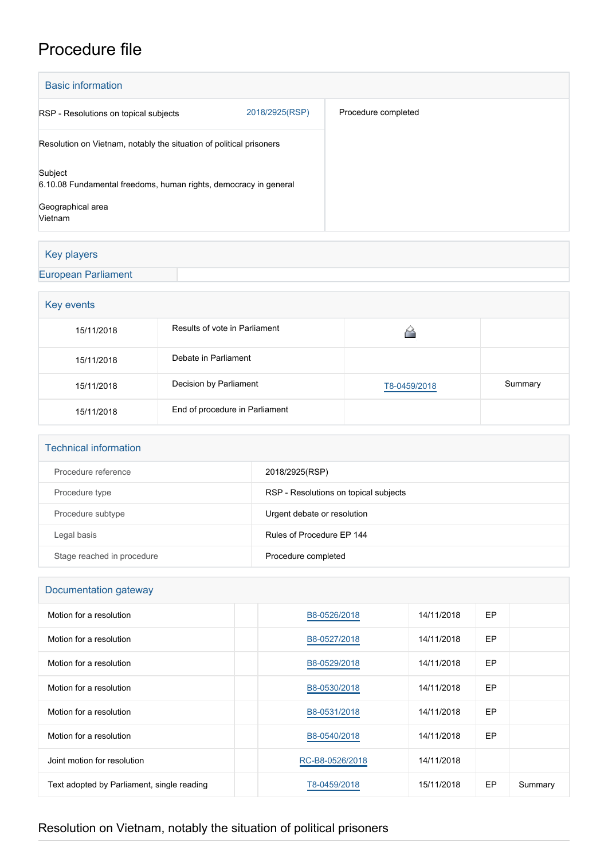# Procedure file

| <b>Basic information</b>                                                                         |                |                     |  |  |
|--------------------------------------------------------------------------------------------------|----------------|---------------------|--|--|
| RSP - Resolutions on topical subjects                                                            | 2018/2925(RSP) | Procedure completed |  |  |
| Resolution on Vietnam, notably the situation of political prisoners                              |                |                     |  |  |
| Subject<br>6.10.08 Fundamental freedoms, human rights, democracy in general<br>Geographical area |                |                     |  |  |
| Vietnam                                                                                          |                |                     |  |  |

## Key players

#### [European Parliament](http://www.europarl.europa.eu/)

| Key events |                                |              |         |  |  |
|------------|--------------------------------|--------------|---------|--|--|
| 15/11/2018 | Results of vote in Parliament  |              |         |  |  |
| 15/11/2018 | Debate in Parliament           |              |         |  |  |
| 15/11/2018 | Decision by Parliament         | T8-0459/2018 | Summary |  |  |
| 15/11/2018 | End of procedure in Parliament |              |         |  |  |

| <b>Technical information</b> |  |
|------------------------------|--|
|------------------------------|--|

| Procedure reference        | 2018/2925(RSP)                        |
|----------------------------|---------------------------------------|
| Procedure type             | RSP - Resolutions on topical subjects |
| Procedure subtype          | Urgent debate or resolution           |
| Legal basis                | Rules of Procedure EP 144             |
| Stage reached in procedure | Procedure completed                   |

## Documentation gateway

| Motion for a resolution                    | B8-0526/2018    | 14/11/2018 | <b>EP</b> |         |
|--------------------------------------------|-----------------|------------|-----------|---------|
| Motion for a resolution                    | B8-0527/2018    | 14/11/2018 | EP        |         |
| Motion for a resolution                    | B8-0529/2018    | 14/11/2018 | <b>EP</b> |         |
| Motion for a resolution                    | B8-0530/2018    | 14/11/2018 | EP.       |         |
| Motion for a resolution                    | B8-0531/2018    | 14/11/2018 | EP        |         |
| Motion for a resolution                    | B8-0540/2018    | 14/11/2018 | <b>EP</b> |         |
| Joint motion for resolution                | RC-B8-0526/2018 | 14/11/2018 |           |         |
| Text adopted by Parliament, single reading | T8-0459/2018    | 15/11/2018 | <b>EP</b> | Summary |

# Resolution on Vietnam, notably the situation of political prisoners